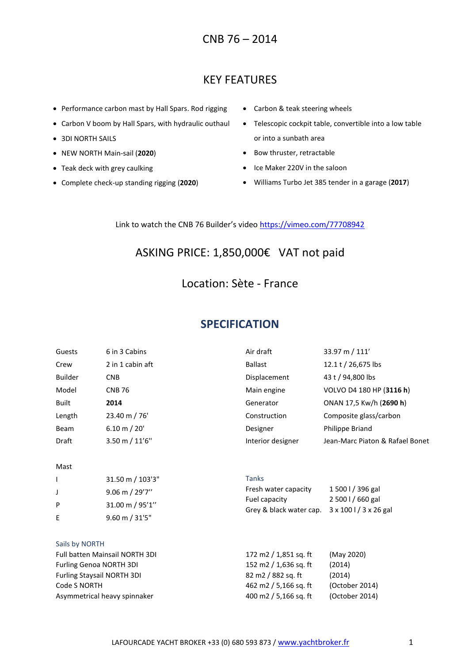## KEY FEATURES

- Performance carbon mast by Hall Spars. Rod rigging
- Carbon V boom by Hall Spars, with hydraulic outhaul
- 3DI NORTH SAILS
- NEW NORTH Main-sail (**2020**)
- Teak deck with grey caulking
- Complete check-up standing rigging (**2020**)
- Carbon & teak steering wheels
- Telescopic cockpit table, convertible into a low table or into a sunbath area
	- Bow thruster, retractable
	- Ice Maker 220V in the saloon
	- Williams Turbo Jet 385 tender in a garage (**2017**)

Link to watch the CNB 76 Builder's video <https://vimeo.com/77708942>

# ASKING PRICE: 1,850,000€ VAT not paid

## Location: Sète - France

### **SPECIFICATION**

| Guests                         | 6 in 3 Cabins       | Air draft               | 33.97 m $/ 111'$                     |
|--------------------------------|---------------------|-------------------------|--------------------------------------|
| Crew                           | 2 in 1 cabin aft    | <b>Ballast</b>          | 12.1 t / 26,675 lbs                  |
| <b>Builder</b>                 | <b>CNB</b>          | Displacement            | 43 t / 94,800 lbs                    |
| Model                          | <b>CNB 76</b>       | Main engine             | VOLVO D4 180 HP (3116 h)             |
| Built                          | 2014                | Generator               | ONAN 17,5 Kw/h (2690 h)              |
| Length                         | 23.40 m / 76'       | Construction            | Composite glass/carbon               |
| Beam                           | 6.10 m / 20'        | Designer                | Philippe Briand                      |
| Draft                          | $3.50$ m $/ 11'6''$ | Interior designer       | Jean-Marc Piaton & Rafael Bonet      |
| Mast                           |                     |                         |                                      |
|                                | 31.50 m / 103'3"    | <b>Tanks</b>            |                                      |
| J                              | 9.06 m / 29'7"      | Fresh water capacity    | 1 500 l / 396 gal                    |
| P                              | 31.00 m / 95'1"     | Fuel capacity           | 2 500 l / 660 gal                    |
| E                              | $9.60$ m $/$ 31'5"  | Grey & black water cap. | $3 \times 100$ I / $3 \times 26$ gal |
| Sails by NORTH                 |                     |                         |                                      |
| Full batten Mainsail NORTH 3DI |                     | 172 m2 / 1,851 sq. ft   | (May 2020)                           |

| - Full Dattell Mallisall NORTH SDI | 172 IIIZ 7 1,001 SQ. IL | TIVIDY ZUZUT   |
|------------------------------------|-------------------------|----------------|
| <b>Furling Genoa NORTH 3DI</b>     | 152 m2 / 1,636 sq. ft   | (2014)         |
| <b>Furling Staysail NORTH 3DI</b>  | 82 m2 / 882 sa. ft      | (2014)         |
| Code S NORTH                       | 462 m2 / 5,166 sq. ft   | (October 2014) |
| Asymmetrical heavy spinnaker       | 400 m2 $/$ 5,166 sq. ft | (October 2014) |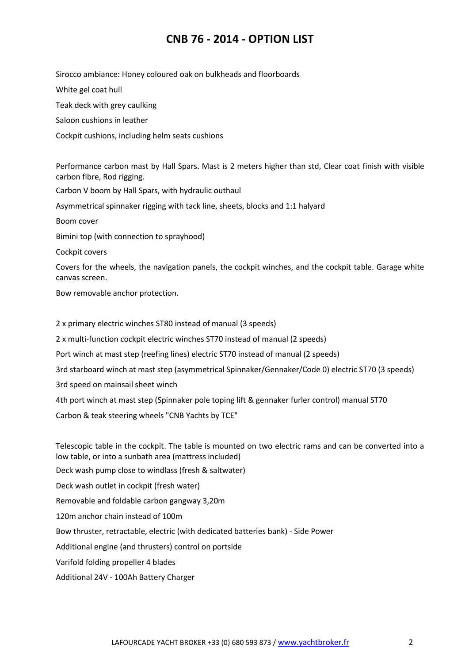# **CNB 76 - 2014 - OPTION LIST**

Sirocco ambiance: Honey coloured oak on bulkheads and floorboards

White gel coat hull

Teak deck with grey caulking

Saloon cushions in leather

Cockpit cushions, including helm seats cushions

Performance carbon mast by Hall Spars. Mast is 2 meters higher than std, Clear coat finish with visible carbon fibre, Rod rigging.

Carbon V boom by Hall Spars, with hydraulic outhaul

Asymmetrical spinnaker rigging with tack line, sheets, blocks and 1:1 halyard

Boom cover

Bimini top (with connection to sprayhood)

Cockpit covers

Covers for the wheels, the navigation panels, the cockpit winches, and the cockpit table. Garage white canvas screen.

Bow removable anchor protection.

2 x primary electric winches ST80 instead of manual (3 speeds)

2 x multi-function cockpit electric winches ST70 instead of manual (2 speeds)

Port winch at mast step (reefing lines) electric ST70 instead of manual (2 speeds)

3rd starboard winch at mast step (asymmetrical Spinnaker/Gennaker/Code 0) electric ST70 (3 speeds)

3rd speed on mainsail sheet winch

4th port winch at mast step (Spinnaker pole toping lift & gennaker furler control) manual ST70

Carbon & teak steering wheels "CNB Yachts by TCE"

Telescopic table in the cockpit. The table is mounted on two electric rams and can be converted into a low table, or into a sunbath area (mattress included)

Deck wash pump close to windlass (fresh & saltwater)

Deck wash outlet in cockpit (fresh water)

Removable and foldable carbon gangway 3,20m

120m anchor chain instead of 100m

Bow thruster, retractable, electric (with dedicated batteries bank) - Side Power

Additional engine (and thrusters) control on portside

Varifold folding propeller 4 blades

Additional 24V - 100Ah Battery Charger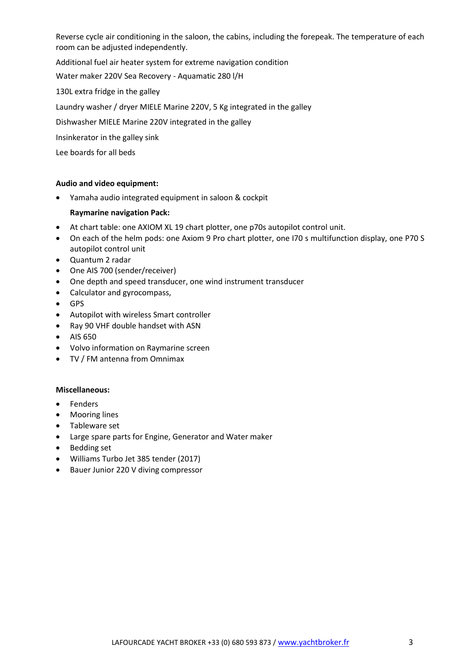Reverse cycle air conditioning in the saloon, the cabins, including the forepeak. The temperature of each room can be adjusted independently.

Additional fuel air heater system for extreme navigation condition

Water maker 220V Sea Recovery - Aquamatic 280 l/H

130L extra fridge in the galley

Laundry washer / dryer MIELE Marine 220V, 5 Kg integrated in the galley

Dishwasher MIELE Marine 220V integrated in the galley

Insinkerator in the galley sink

Lee boards for all beds

### **Audio and video equipment:**

• Yamaha audio integrated equipment in saloon & cockpit

### **Raymarine navigation Pack:**

- At chart table: one AXIOM XL 19 chart plotter, one p70s autopilot control unit.
- On each of the helm pods: one Axiom 9 Pro chart plotter, one I70 s multifunction display, one P70 S autopilot control unit
- Quantum 2 radar
- One AIS 700 (sender/receiver)
- One depth and speed transducer, one wind instrument transducer
- Calculator and gyrocompass,
- GPS
- Autopilot with wireless Smart controller
- Ray 90 VHF double handset with ASN
- AIS 650
- Volvo information on Raymarine screen
- TV / FM antenna from Omnimax

#### **Miscellaneous:**

- Fenders
- Mooring lines
- Tableware set
- Large spare parts for Engine, Generator and Water maker
- Bedding set
- Williams Turbo Jet 385 tender (2017)
- Bauer Junior 220 V diving compressor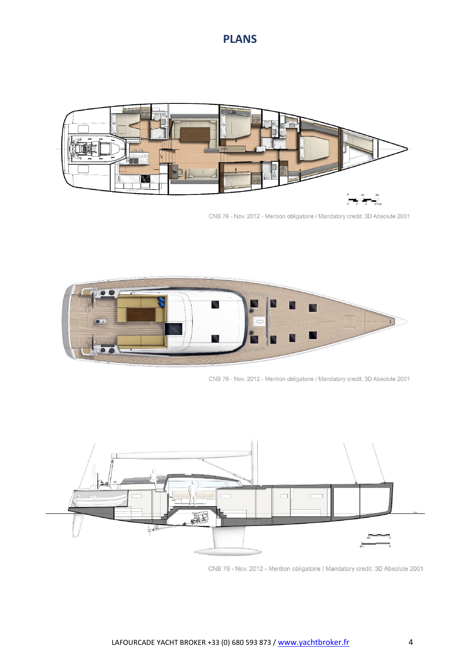# **PLANS**



CNB 76 - Nov. 2012 - Mention obligatoire / Mandatory credit: 3D Absolute 2001



CNB 76 - Nov. 2012 - Mention obligatoire / Mandatory credit: 3D Absolute 2001



CNB 76 - Nov. 2012 - Mention obligatoire / Mandatory credit: 3D Absolute 2001